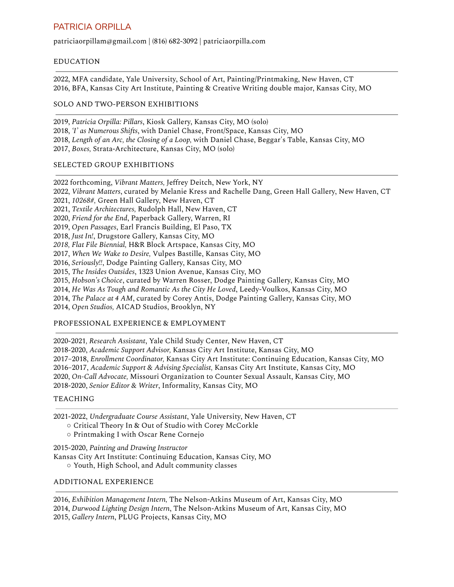# [PATRICIA](https://www.patriciagrahamart.com/) ORPILLA

patriciaorpillam@gmail.com | (816) 682-3092 | patriciaorpilla.com

## EDUCATION

2022, MFA candidate, Yale University, School of Art, Painting/Printmaking, New Haven, CT 2016, BFA, Kansas City Art Institute, Painting & Creative Writing double major, Kansas City, MO

## SOLO AND TWO-PERSON EXHIBITIONS

2019, *Patricia Orpilla: Pillars*, Kiosk Gallery, Kansas City, MO (solo) 2018, *'I' as Numerous Shifts*, with Daniel Chase, Front/Space, Kansas City, MO 2018, *Length of an Arc, the Closing of a Loop,* with Daniel Chase, Beggar's Table, Kansas City, MO 2017, *Boxes,* Strata-Architecture, Kansas City, MO (solo)

#### SELECTED GROUP EXHIBITIONS

2022 forthcoming, *Vibrant Matters,* Jeffrey Deitch, New York, NY 2022, *Vibrant Matters*, curated by Melanie Kress and Rachelle Dang, Green Hall Gallery, New Haven, CT 2021, *10268#,* Green Hall Gallery, New Haven, CT 2021, *Textile Architectures,* Rudolph Hall, New Haven, CT 2020, *Friend for the End*, Paperback Gallery, Warren, RI 2019, *Open Passages*, Earl Francis Building, El Paso, TX 2018, *Just In!*, Drugstore Gallery, Kansas City, MO *2018, Flat File Biennial,* H&R Block Artspace, Kansas City, MO 2017, *When We Wake to Desire,* Vulpes Bastille, Kansas City, MO 2016, *Seriously!!*, Dodge Painting Gallery, Kansas City, MO 2015, *The Insides Outsides*, 1323 Union Avenue, Kansas City, MO 2015, *Hobson's Choice*, curated by Warren Rosser, Dodge Painting Gallery, Kansas City, MO 2014, *He Was As Tough and Romantic As the City He Loved*, Leedy-Voulkos, Kansas City, MO 2014, *The Palace at 4 AM*, curated by Corey Antis, Dodge Painting Gallery, Kansas City, MO 2014, *Open Studios,* AICAD Studios, Brooklyn, NY

## PROFESSIONAL EXPERIENCE & EMPLOYMENT

2020-2021*, Research Assistant*, Yale Child Study Center, New Haven, CT 2018-2020, *Academic Support Advisor,* Kansas City Art Institute, Kansas City, MO 2017–2018, *Enrollment Coordinator,* Kansas City Art Institute: Continuing Education, Kansas City, MO 2016–2017, *Academic Support & Advising Specialist,* Kansas City Art Institute, Kansas City, MO 2020, *On-Call Advocate,* Missouri Organization to Counter Sexual Assault, Kansas City, MO 2018-2020, *Senior Editor & Writer*, Informality, Kansas City, MO

#### TEACHING

2021-2022, *Undergraduate Course Assistant*, Yale University, New Haven, CT

- Critical Theory In & Out of Studio with Corey McCorkle
- Printmaking I with Oscar Rene Cornejo

2015-2020, *Painting and Drawing Instructor*

Kansas City Art Institute: Continuing Education, Kansas City, MO

○ Youth, High School, and Adult community classes

#### ADDITIONAL EXPERIENCE

2016, *Exhibition Management Intern,* The Nelson-Atkins Museum of Art, Kansas City, MO 2014, *Durwood Lighting Design Intern*, The Nelson-Atkins Museum of Art, Kansas City, MO 2015, *Gallery Intern*, PLUG Projects, Kansas City, MO